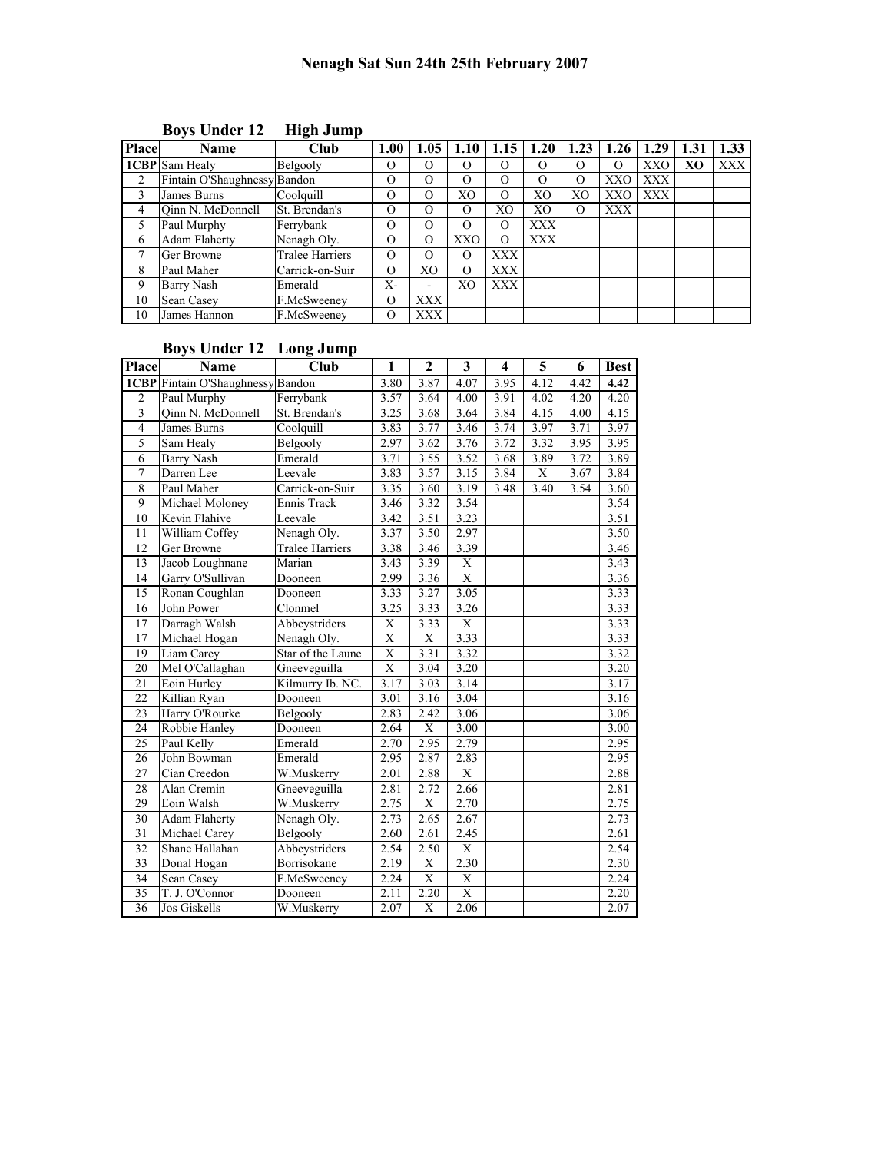| <b>Place</b> | <b>Name</b>                  | Club            | 1.00     | 1.05       | 1.10              | 1.15       | 1.20     | 1.23           | 1.26       | 1.29       | 1.31 | 1.33       |
|--------------|------------------------------|-----------------|----------|------------|-------------------|------------|----------|----------------|------------|------------|------|------------|
|              | <b>ICBP</b> Sam Healy        | Belgooly        | O        | $\Omega$   |                   |            | O        | O              | $\Omega$   | XXO        | XO   | <b>XXX</b> |
| 2            | Fintain O'Shaughnessy Bandon |                 | $\Omega$ | $\Omega$   | $\mathbf{\Omega}$ | O          | $\Omega$ | $\Omega$       | XXO        | <b>XXX</b> |      |            |
| 3            | James Burns                  | Coolquill       | $\Omega$ | $\Omega$   | XО                | O          | XO       | X <sub>O</sub> | XXO        | XXX        |      |            |
| 4            | Oinn N. McDonnell            | St. Brendan's   | $\Omega$ | $\Omega$   | $\theta$          | XО         | XO       | $\Omega$       | <b>XXX</b> |            |      |            |
| 5            | Paul Murphy                  | Ferrybank       | $\Omega$ | $\Omega$   | $\theta$          | O          | XXX      |                |            |            |      |            |
| 6            | <b>Adam Flaherty</b>         | Nenagh Oly.     | $\Omega$ | $\Omega$   | XXO               | O          | XXX      |                |            |            |      |            |
|              | Ger Browne                   | Tralee Harriers | $\Omega$ | $\Omega$   | $\Omega$          | XXX        |          |                |            |            |      |            |
| 8            | Paul Maher                   | Carrick-on-Suir | $\Omega$ | XО         | O                 | <b>XXX</b> |          |                |            |            |      |            |
| 9            | Barry Nash                   | Emerald         | Х-       | ۰          | XО                | XXX        |          |                |            |            |      |            |
| 10           | <b>Sean Casey</b>            | F.McSweeney     | $\Omega$ | <b>XXX</b> |                   |            |          |                |            |            |      |            |
| 10           | James Hannon                 | F.McSweeney     | $\Omega$ | XXX        |                   |            |          |                |            |            |      |            |

## Boys Under 12 High Jump

## Boys Under 12 Long Jump

| <b>Place</b>            | Name                                     | <b>Club</b>            | 1                       | $\mathbf{2}$            | 3                 | 4    | 5           | 6    | <b>Best</b> |
|-------------------------|------------------------------------------|------------------------|-------------------------|-------------------------|-------------------|------|-------------|------|-------------|
|                         | <b>1CBP</b> Fintain O'Shaughnessy Bandon |                        | 3.80                    | 3.87                    | 4.07              | 3.95 | 4.12        | 4.42 | 4.42        |
| $\overline{c}$          | Paul Murphy                              | Ferrybank              | 3.57                    | 3.64                    | 4.00              | 3.91 | 4.02        | 4.20 | 4.20        |
| $\overline{\mathbf{3}}$ | Qinn N. McDonnell                        | St. Brendan's          | 3.25                    | 3.68                    | 3.64              | 3.84 | 4.15        | 4.00 | 4.15        |
| $\overline{4}$          | James Burns                              | Coolquill              | 3.83                    | 3.77                    | 3.46              | 3.74 | 3.97        | 3.71 | 3.97        |
| $\overline{5}$          | Sam Healy                                | Belgooly               | 2.97                    | 3.62                    | 3.76              | 3.72 | 3.32        | 3.95 | 3.95        |
| 6                       | <b>Barry Nash</b>                        | Emerald                | 3.71                    | 3.55                    | 3.52              | 3.68 | 3.89        | 3.72 | 3.89        |
| $\overline{7}$          | Darren Lee                               | Leevale                | 3.83                    | 3.57                    | 3.15              | 3.84 | $\mathbf X$ | 3.67 | 3.84        |
| $\overline{8}$          | Paul Maher                               | Carrick-on-Suir        | 3.35                    | 3.60                    | 3.19              | 3.48 | 3.40        | 3.54 | 3.60        |
| 9                       | Michael Moloney                          | Ennis Track            | 3.46                    | 3.32                    | 3.54              |      |             |      | 3.54        |
| 10                      | Kevin Flahive                            | Leevale                | 3.42                    | 3.51                    | 3.23              |      |             |      | 3.51        |
| 11                      | William Coffey                           | Nenagh Oly.            | 3.37                    | 3.50                    | 2.97              |      |             |      | 3.50        |
| 12                      | Ger Browne                               | <b>Tralee Harriers</b> | 3.38                    | 3.46                    | 3.39              |      |             |      | 3.46        |
| 13                      | Jacob Loughnane                          | Marian                 | 3.43                    | 3.39                    | X                 |      |             |      | 3.43        |
| 14                      | Garry O'Sullivan                         | Dooneen                | 2.99                    | 3.36                    | X                 |      |             |      | 3.36        |
| 15                      | Ronan Coughlan                           | Dooneen                | 3.33                    | 3.27                    | 3.05              |      |             |      | 3.33        |
| 16                      | John Power                               | Clonmel                | 3.25                    | 3.33                    | 3.26              |      |             |      | 3.33        |
| 17                      | Darragh Walsh                            | Abbeystriders          | X                       | 3.33                    | X                 |      |             |      | 3.33        |
| 17                      | Michael Hogan                            | Nenagh Oly.            | $\overline{X}$          | $\overline{X}$          | 3.33              |      |             |      | 3.33        |
| $\overline{19}$         | Liam Carey                               | Star of the Laune      | $\overline{\mathrm{X}}$ | 3.31                    | 3.32              |      |             |      | 3.32        |
| 20                      | Mel O'Callaghan                          | Gneeveguilla           | $\overline{\mathrm{X}}$ | 3.04                    | 3.20              |      |             |      | 3.20        |
| 21                      | Eoin Hurley                              | Kilmurry Ib. NC.       | 3.17                    | 3.03                    | 3.14              |      |             |      | 3.17        |
| 22                      | Killian Ryan                             | Dooneen                | 3.01                    | 3.16                    | 3.04              |      |             |      | 3.16        |
| 23                      | Harry O'Rourke                           | Belgooly               | 2.83                    | 2.42                    | 3.06              |      |             |      | 3.06        |
| 24                      | Robbie Hanley                            | Dooneen                | 2.64                    | $\overline{\textbf{X}}$ | $\overline{3.00}$ |      |             |      | 3.00        |
| 25                      | Paul Kelly                               | Emerald                | 2.70                    | 2.95                    | 2.79              |      |             |      | 2.95        |
| 26                      | John Bowman                              | Emerald                | 2.95                    | 2.87                    | 2.83              |      |             |      | 2.95        |
| 27                      | Cian Creedon                             | W.Muskerry             | 2.01                    | 2.88                    | $\mathbf X$       |      |             |      | 2.88        |
| 28                      | Alan Cremin                              | Gneeveguilla           | 2.81                    | 2.72                    | 2.66              |      |             |      | 2.81        |
| 29                      | Eoin Walsh                               | W.Muskerry             | 2.75                    | $\mathbf X$             | 2.70              |      |             |      | 2.75        |
| 30                      | <b>Adam Flaherty</b>                     | Nenagh Oly.            | 2.73                    | 2.65                    | 2.67              |      |             |      | 2.73        |
| 31                      | Michael Carey                            | Belgooly               | 2.60                    | 2.61                    | 2.45              |      |             |      | 2.61        |
| 32                      | Shane Hallahan                           | Abbeystriders          | 2.54                    | 2.50                    | $\mathbf X$       |      |             |      | 2.54        |
| 33                      | Donal Hogan                              | Borrisokane            | 2.19                    | $\overline{X}$          | 2.30              |      |             |      | 2.30        |
| 34                      | Sean Casey                               | F.McSweeney            | 2.24                    | $\overline{X}$          | X                 |      |             |      | 2.24        |
| 35                      | T. J. O'Connor                           | Dooneen                | 2.11                    | 2.20                    | X                 |      |             |      | 2.20        |
| 36                      | Jos Giskells                             | W.Muskerry             | 2.07                    | X                       | 2.06              |      |             |      | 2.07        |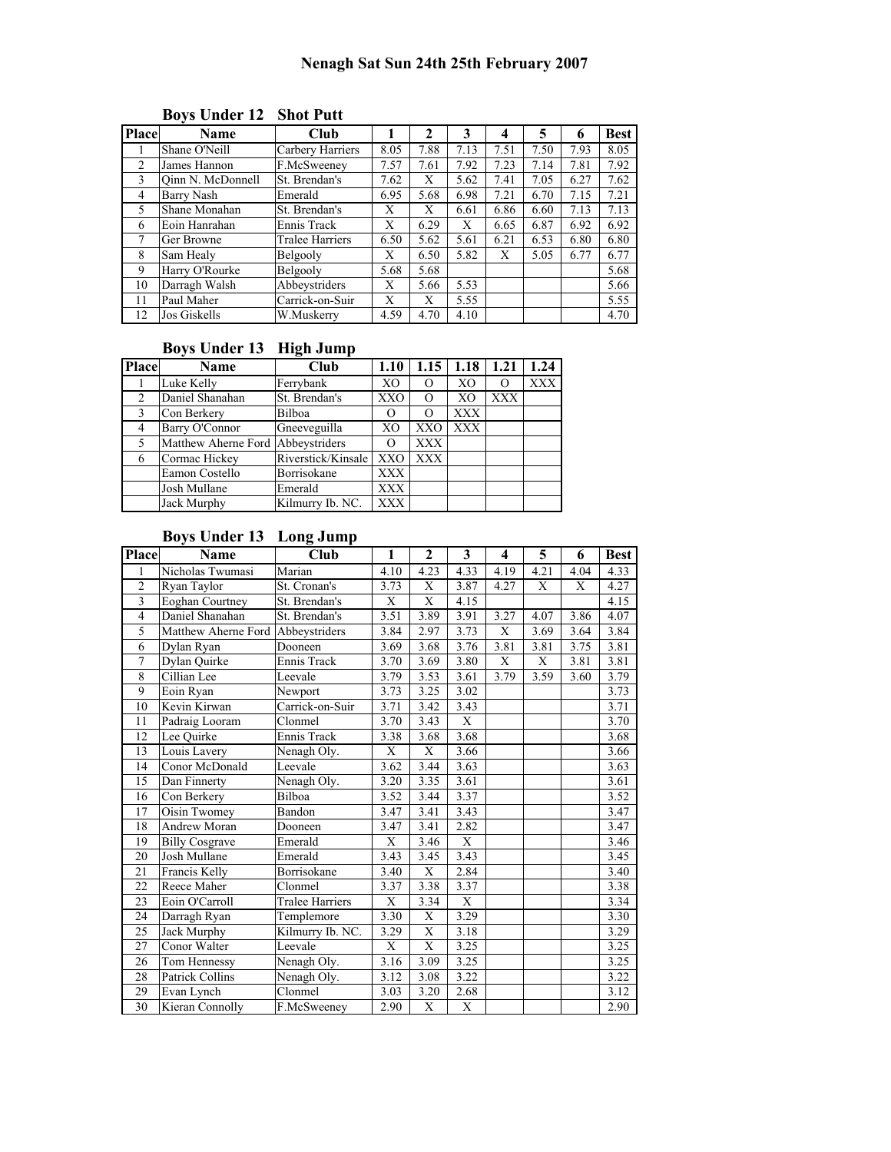| <b>Place</b>   | Name              | Club             |      | 2    | 3    | 4    | 5    | 6    | <b>Best</b> |
|----------------|-------------------|------------------|------|------|------|------|------|------|-------------|
|                | Shane O'Neill     | Carbery Harriers | 8.05 | 7.88 | 7.13 | 7.51 | 7.50 | 7.93 | 8.05        |
| $\mathfrak{D}$ | James Hannon      | F.McSweeney      | 7.57 | 7.61 | 7.92 | 7.23 | 7.14 | 7.81 | 7.92        |
| 3              | Oinn N. McDonnell | St. Brendan's    | 7.62 | X    | 5.62 | 7.41 | 7.05 | 6.27 | 7.62        |
| 4              | <b>Barry Nash</b> | Emerald          | 6.95 | 5.68 | 6.98 | 7.21 | 6.70 | 7.15 | 7.21        |
| 5              | Shane Monahan     | St. Brendan's    | X    | X    | 6.61 | 6.86 | 6.60 | 7.13 | 7.13        |
| 6              | Eoin Hanrahan     | Ennis Track      | X    | 6.29 | X    | 6.65 | 6.87 | 6.92 | 6.92        |
|                | Ger Browne        | Tralee Harriers  | 6.50 | 5.62 | 5.61 | 6.21 | 6.53 | 6.80 | 6.80        |
| 8              | Sam Healy         | Belgooly         | X    | 6.50 | 5.82 | X    | 5.05 | 6.77 | 6.77        |
| 9              | Harry O'Rourke    | Belgooly         | 5.68 | 5.68 |      |      |      |      | 5.68        |
| 10             | Darragh Walsh     | Abbeystriders    | X    | 5.66 | 5.53 |      |      |      | 5.66        |
| 11             | Paul Maher        | Carrick-on-Suir  | X    | X    | 5.55 |      |      |      | 5.55        |
| 12             | Jos Giskells      | W.Muskerry       | 4.59 | 4.70 | 4.10 |      |      |      | 4.70        |

# Boys Under 12 Shot Putt

## Boys Under 13 High Jump

| <b>Place</b>   | Name                  | Club               | 1.10       |            | $1.15$   1.18  | 1.21       | 1.24       |
|----------------|-----------------------|--------------------|------------|------------|----------------|------------|------------|
|                | Luke Kelly            | Ferrybank          | XO         | О          | XO             |            | <b>XXX</b> |
| $\overline{2}$ | Daniel Shanahan       | St. Brendan's      | XXO        | O          | X <sub>O</sub> | <b>XXX</b> |            |
| - 3            | Con Berkery           | Bilboa             | O          | O          | <b>XXX</b>     |            |            |
| 4              | <b>Barry O'Connor</b> | Gneeveguilla       | XO         | <b>XXO</b> | <b>XXX</b>     |            |            |
| 5              | Matthew Aherne Ford   | Abbeystriders      | O          | XXX        |                |            |            |
| 6              | Cormac Hickey         | Riverstick/Kinsale | XXO        | XXX        |                |            |            |
|                | Eamon Costello        | Borrisokane        | <b>XXX</b> |            |                |            |            |
|                | Josh Mullane          | Emerald            | <b>XXX</b> |            |                |            |            |
|                | Jack Murphy           | Kilmurry Ib. NC.   | <b>XXX</b> |            |                |            |            |

## Boys Under 13 Long Jump

| <b>Place</b>            | <b>Name</b>            | Club                   | 1              | 2                 | 3              | 4    | 5    | 6    | Best              |
|-------------------------|------------------------|------------------------|----------------|-------------------|----------------|------|------|------|-------------------|
| 1                       | Nicholas Twumasi       | Marian                 | 4.10           | 4.23              | 4.33           | 4.19 | 4.21 | 4.04 | 4.33              |
| $\overline{c}$          | Ryan Taylor            | St. Cronan's           | 3.73           | X                 | 3.87           | 4.27 | X    | X    | 4.27              |
| $\overline{\mathbf{3}}$ | Eoghan Courtney        | St. Brendan's          | X              | X                 | 4.15           |      |      |      | 4.15              |
| $\overline{4}$          | Daniel Shanahan        | St. Brendan's          | 3.51           | $\overline{3.89}$ | 3.91           | 3.27 | 4.07 | 3.86 | 4.07              |
| 5                       | Matthew Aherne Ford    | Abbeystriders          | 3.84           | 2.97              | 3.73           | X    | 3.69 | 3.64 | 3.84              |
| 6                       | Dylan Ryan             | Dooneen                | 3.69           | 3.68              | 3.76           | 3.81 | 3.81 | 3.75 | 3.81              |
| 7                       | Dylan Quirke           | Ennis Track            | 3.70           | 3.69              | 3.80           | X    | X    | 3.81 | 3.81              |
| 8                       | Cillian Lee            | Leevale                | 3.79           | 3.53              | 3.61           | 3.79 | 3.59 | 3.60 | 3.79              |
| 9                       | Eoin Ryan              | Newport                | 3.73           | 3.25              | 3.02           |      |      |      | 3.73              |
| 10                      | Kevin Kirwan           | Carrick-on-Suir        | 3.71           | 3.42              | 3.43           |      |      |      | 3.71              |
| 11                      | Padraig Looram         | Clonmel                | 3.70           | $\overline{3.43}$ | X              |      |      |      | 3.70              |
| 12                      | Lee Ouirke             | Ennis Track            | 3.38           | 3.68              | 3.68           |      |      |      | 3.68              |
| 13                      | Louis Lavery           | Nenagh Oly.            | X              | X                 | 3.66           |      |      |      | 3.66              |
| 14                      | Conor McDonald         | Leevale                | 3.62           | $\overline{3.44}$ | 3.63           |      |      |      | 3.63              |
| 15                      | Dan Finnerty           | Nenagh Oly.            | 3.20           | 3.35              | 3.61           |      |      |      | 3.61              |
| 16                      | Con Berkery            | Bilboa                 | 3.52           | 3.44              | 3.37           |      |      |      | 3.52              |
| 17                      | Oisin Twomey           | Bandon                 | 3.47           | 3.41              | 3.43           |      |      |      | 3.47              |
| 18                      | Andrew Moran           | Dooneen                | 3.47           | 3.41              | 2.82           |      |      |      | 3.47              |
| 19                      | <b>Billy Cosgrave</b>  | Emerald                | X              | 3.46              | X              |      |      |      | 3.46              |
| 20                      | Josh Mullane           | Emerald                | 3.43           | 3.45              | 3.43           |      |      |      | 3.45              |
| $\overline{21}$         | Francis Kelly          | Borrisokane            | 3.40           | X                 | 2.84           |      |      |      | $\overline{3.40}$ |
| 22                      | Reece Maher            | Clonmel                | 3.37           | 3.38              | 3.37           |      |      |      | 3.38              |
| $\overline{23}$         | Eoin O'Carroll         | <b>Tralee Harriers</b> | $\overline{X}$ | 3.34              | $\overline{X}$ |      |      |      | 3.34              |
| 24                      | Darragh Ryan           | Templemore             | 3.30           | X                 | 3.29           |      |      |      | 3.30              |
| 25                      | Jack Murphy            | Kilmurry Ib. NC.       | 3.29           | X                 | 3.18           |      |      |      | 3.29              |
| $2\overline{7}$         | Conor Walter           | Leevale                | X              | X                 | 3.25           |      |      |      | 3.25              |
| 26                      | Tom Hennessy           | Nenagh Oly.            | 3.16           | 3.09              | 3.25           |      |      |      | 3.25              |
| 28                      | <b>Patrick Collins</b> | Nenagh Oly.            | 3.12           | 3.08              | 3.22           |      |      |      | 3.22              |
| 29                      | Evan Lynch             | Clonmel                | 3.03           | 3.20              | 2.68           |      |      |      | 3.12              |
| 30                      | Kieran Connolly        | F.McSweeney            | 2.90           | X                 | X              |      |      |      | 2.90              |